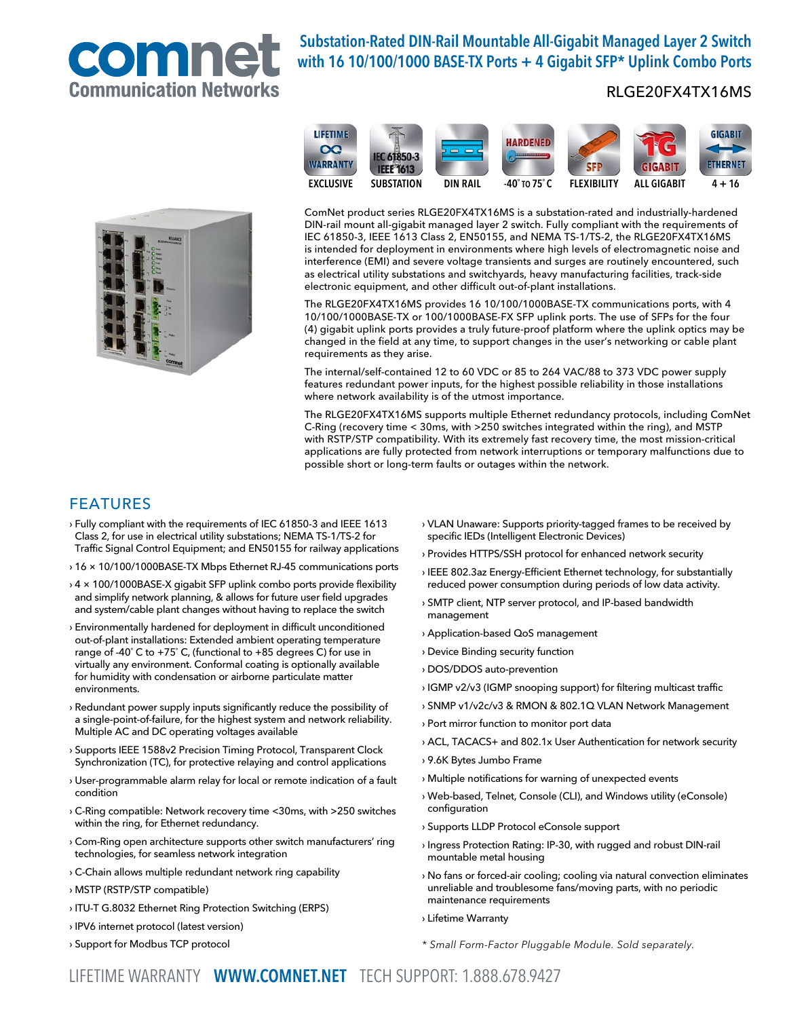

# Substation-Rated DIN-Rail Mountable All-Gigabit Managed Layer 2 Switch with 16 10/100/1000 BASE-TX Ports + 4 Gigabit SFP\* Uplink Combo Ports

## RLGE20FX4TX16MS





ComNet product series RLGE20FX4TX16MS is a substation-rated and industrially-hardened DIN-rail mount all-gigabit managed layer 2 switch. Fully compliant with the requirements of IEC 61850-3, IEEE 1613 Class 2, EN50155, and NEMA TS-1/TS-2, the RLGE20FX4TX16MS is intended for deployment in environments where high levels of electromagnetic noise and interference (EMI) and severe voltage transients and surges are routinely encountered, such as electrical utility substations and switchyards, heavy manufacturing facilities, track-side electronic equipment, and other difficult out-of-plant installations.

The RLGE20FX4TX16MS provides 16 10/100/1000BASE-TX communications ports, with 4 10/100/1000BASE-TX or 100/1000BASE-FX SFP uplink ports. The use of SFPs for the four (4) gigabit uplink ports provides a truly future-proof platform where the uplink optics may be changed in the field at any time, to support changes in the user's networking or cable plant requirements as they arise.

The internal/self-contained 12 to 60 VDC or 85 to 264 VAC/88 to 373 VDC power supply features redundant power inputs, for the highest possible reliability in those installations where network availability is of the utmost importance.

The RLGE20FX4TX16MS supports multiple Ethernet redundancy protocols, including ComNet C-Ring (recovery time < 30ms, with >250 switches integrated within the ring), and MSTP with RSTP/STP compatibility. With its extremely fast recovery time, the most mission-critical applications are fully protected from network interruptions or temporary malfunctions due to possible short or long-term faults or outages within the network.

## FEATURES

- › Fully compliant with the requirements of IEC 61850-3 and IEEE 1613 Class 2, for use in electrical utility substations; NEMA TS-1/TS-2 for Traffic Signal Control Equipment; and EN50155 for railway applications
- › 16 × 10/100/1000BASE-TX Mbps Ethernet RJ-45 communications ports
- › 4 × 100/1000BASE-X gigabit SFP uplink combo ports provide flexibility and simplify network planning, & allows for future user field upgrades and system/cable plant changes without having to replace the switch
- › Environmentally hardened for deployment in difficult unconditioned out-of-plant installations: Extended ambient operating temperature range of -40˚ C to +75˚ C, (functional to +85 degrees C) for use in virtually any environment. Conformal coating is optionally available for humidity with condensation or airborne particulate matter environments.
- › Redundant power supply inputs significantly reduce the possibility of a single-point-of-failure, for the highest system and network reliability. Multiple AC and DC operating voltages available
- › Supports IEEE 1588v2 Precision Timing Protocol, Transparent Clock Synchronization (TC), for protective relaying and control applications
- › User-programmable alarm relay for local or remote indication of a fault condition
- › C-Ring compatible: Network recovery time <30ms, with >250 switches within the ring, for Ethernet redundancy.
- › Com-Ring open architecture supports other switch manufacturers' ring technologies, for seamless network integration
- › C-Chain allows multiple redundant network ring capability
- › MSTP (RSTP/STP compatible)
- › ITU-T G.8032 Ethernet Ring Protection Switching (ERPS)
- › IPV6 internet protocol (latest version)
- › Support for Modbus TCP protocol
- › VLAN Unaware: Supports priority-tagged frames to be received by specific IEDs (Intelligent Electronic Devices)
- › Provides HTTPS/SSH protocol for enhanced network security
- › IEEE 802.3az Energy-Efficient Ethernet technology, for substantially reduced power consumption during periods of low data activity.
- › SMTP client, NTP server protocol, and IP-based bandwidth management
- › Application-based QoS management
- › Device Binding security function
- › DOS/DDOS auto-prevention
- › IGMP v2/v3 (IGMP snooping support) for filtering multicast traffic
- › SNMP v1/v2c/v3 & RMON & 802.1Q VLAN Network Management
- › Port mirror function to monitor port data
- › ACL, TACACS+ and 802.1x User Authentication for network security
- › 9.6K Bytes Jumbo Frame
- › Multiple notifications for warning of unexpected events
- › Web-based, Telnet, Console (CLI), and Windows utility (eConsole) configuration
- › Supports LLDP Protocol eConsole support
- › Ingress Protection Rating: IP-30, with rugged and robust DIN-rail mountable metal housing
- › No fans or forced-air cooling; cooling via natural convection eliminates unreliable and troublesome fans/moving parts, with no periodic maintenance requirements
- › Lifetime Warranty
- \* Small Form-Factor Pluggable Module. Sold separately.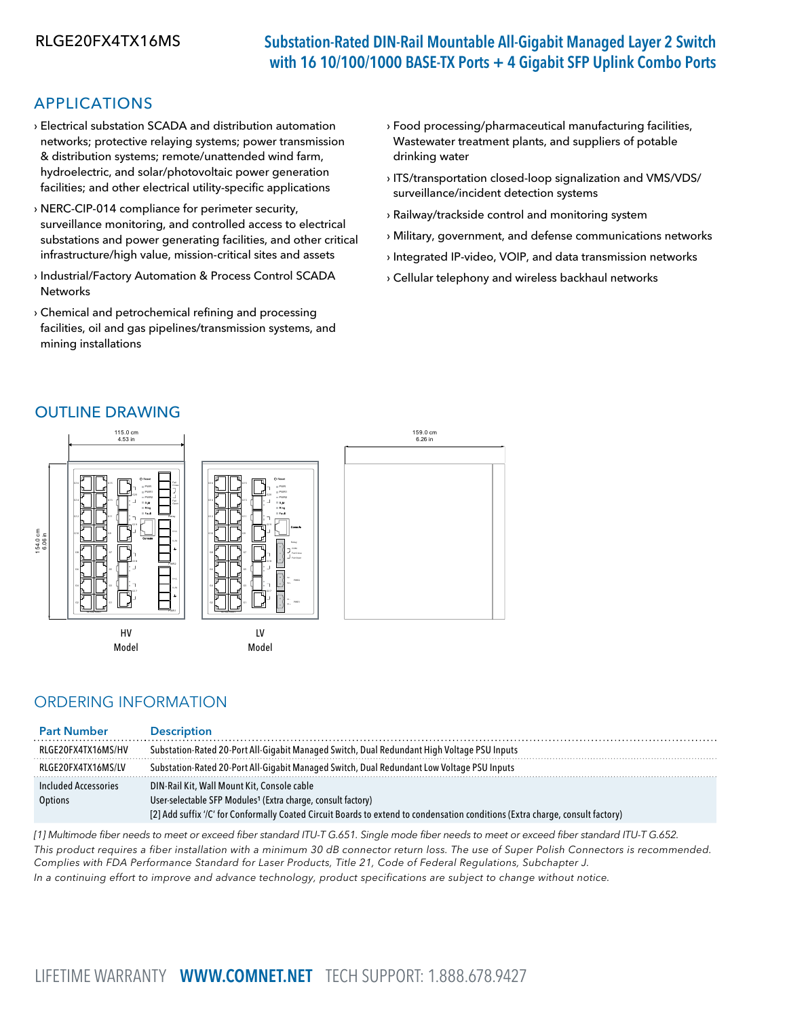# RLGE20FX4TX16MS Substation-Rated DIN-Rail Mountable All-Gigabit Managed Layer 2 Switch with 16 10/100/1000 BASE-TX Ports + 4 Gigabit SFP Uplink Combo Ports

## APPLICATIONS

- › Electrical substation SCADA and distribution automation networks; protective relaying systems; power transmission & distribution systems; remote/unattended wind farm, hydroelectric, and solar/photovoltaic power generation facilities; and other electrical utility-specific applications
- › NERC-CIP-014 compliance for perimeter security, surveillance monitoring, and controlled access to electrical substations and power generating facilities, and other critical infrastructure/high value, mission-critical sites and assets
- › Industrial/Factory Automation & Process Control SCADA Networks
- › Chemical and petrochemical refining and processing facilities, oil and gas pipelines/transmission systems, and mining installations
- › Food processing/pharmaceutical manufacturing facilities, Wastewater treatment plants, and suppliers of potable drinking water
- › ITS/transportation closed-loop signalization and VMS/VDS/ surveillance/incident detection systems
- › Railway/trackside control and monitoring system
- › Military, government, and defense communications networks
- › Integrated IP-video, VOIP, and data transmission networks
- › Cellular telephony and wireless backhaul networks

## OUTLINE DRAWING



## ORDERING INFORMATION

| <b>Part Number</b>   | <b>Description</b>                                                                                                             |  |
|----------------------|--------------------------------------------------------------------------------------------------------------------------------|--|
| RLGE20FX4TX16MS/HV   | Substation-Rated 20-Port All-Gigabit Managed Switch, Dual Redundant High Voltage PSU Inputs                                    |  |
| RLGE20FX4TX16MS/LV   | Substation-Rated 20-Port All-Gigabit Managed Switch, Dual Redundant Low Voltage PSU Inputs                                     |  |
| Included Accessories | DIN-Rail Kit, Wall Mount Kit, Console cable                                                                                    |  |
| Options              | User-selectable SFP Modules <sup>1</sup> (Extra charge, consult factory)                                                       |  |
|                      | [2] Add suffix '/C' for Conformally Coated Circuit Boards to extend to condensation conditions (Extra charge, consult factory) |  |

[1] Multimode fiber needs to meet or exceed fiber standard ITU-T G.651. Single mode fiber needs to meet or exceed fiber standard ITU-T G.652. This product requires a fiber installation with a minimum 30 dB connector return loss. The use of Super Polish Connectors is recommended. Complies with FDA Performance Standard for Laser Products, Title 21, Code of Federal Regulations, Subchapter J.

In a continuing effort to improve and advance technology, product specifications are subject to change without notice.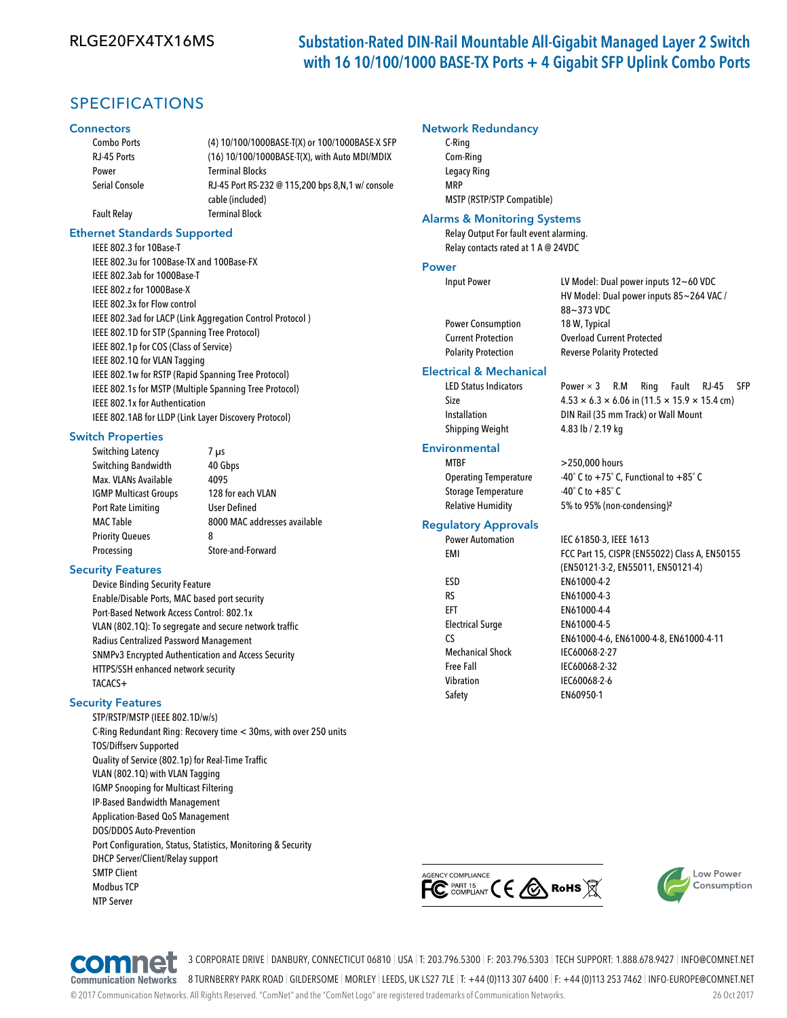## RLGE20FX4TX16MS Substation-Rated DIN-Rail Mountable All-Gigabit Managed Layer 2 Switch with 16 10/100/1000 BASE-TX Ports + 4 Gigabit SFP Uplink Combo Ports

## SPECIFICATIONS

#### **Connectors**

| <b>Combo Ports</b>    | (4) 10/100/1000BASE-T(X) or 100/1000BASE-X SFP   |
|-----------------------|--------------------------------------------------|
| RJ-45 Ports           | (16) 10/100/1000BASE-T(X), with Auto MDI/MDIX    |
| Power                 | <b>Terminal Blocks</b>                           |
| <b>Serial Console</b> | RJ-45 Port RS-232 @ 115,200 bps 8,N,1 w/ console |
|                       | cable (included)                                 |
| <b>Fault Relay</b>    | <b>Terminal Block</b>                            |
|                       |                                                  |

#### Ethernet Standards Supported

IEEE 802.3 for 10Base-T IEEE 802.3u for 100Base-TX and 100Base-FX IEEE 802.3ab for 1000Base-T IEEE 802.z for 1000Base-X IEEE 802.3x for Flow control IEEE 802.3ad for LACP (Link Aggregation Control Protocol ) IEEE 802.1D for STP (Spanning Tree Protocol) IEEE 802.1p for COS (Class of Service) IEEE 802.1Q for VLAN Tagging IEEE 802.1w for RSTP (Rapid Spanning Tree Protocol) IEEE 802.1s for MSTP (Multiple Spanning Tree Protocol) IEEE 802.1x for Authentication IEEE 802.1AB for LLDP (Link Layer Discovery Protocol)

#### Switch Properties

| Switching Latency            | 7 µs                         |
|------------------------------|------------------------------|
| Switching Bandwidth          | 40 Gbps                      |
| Max. VLANs Available         | 4095                         |
| <b>IGMP Multicast Groups</b> | 128 for each VLAN            |
| Port Rate Limiting           | <b>User Defined</b>          |
| <b>MAC Table</b>             | 8000 MAC addresses available |
| <b>Priority Queues</b>       | 8                            |
| Processing                   | Store-and-Forward            |
|                              |                              |

#### Security Features

Device Binding Security Feature Enable/Disable Ports, MAC based port security Port-Based Network Access Control: 802.1x VLAN (802.1Q): To segregate and secure network traffic Radius Centralized Password Management SNMPv3 Encrypted Authentication and Access Security HTTPS/SSH enhanced network security TACACS+

#### Security Features

STP/RSTP/MSTP (IEEE 802.1D/w/s) C-Ring Redundant Ring: Recovery time < 30ms, with over 250 units TOS/Diffserv Supported Quality of Service (802.1p) for Real-Time Traffic VLAN (802.1Q) with VLAN Tagging IGMP Snooping for Multicast Filtering IP-Based Bandwidth Management Application-Based QoS Management DOS/DDOS Auto-Prevention Port Configuration, Status, Statistics, Monitoring & Security DHCP Server/Client/Relay support SMTP Client Modbus TCP NTP Server

#### Network Redundancy

C-Ring Com-Ring Legacy Ring MRP MSTP (RSTP/STP Compatible)

### Alarms & Monitoring Systems

Relay Output For fault event alarming. Relay contacts rated at 1 A @ 24VDC

#### Power

Power Consumption 18 W, Typical Polarity Protection Reverse Polarity Protected

#### Electrical & Mechanical

Shipping Weight 4.83 lb / 2.19 kg

### **Environmental**

MTBF >250,000 hours Storage Temperature -40° C to +85° C

#### Regulatory Approvals

ESD EN61000-4-2 RS EN61000-4-3 EFT EN61000-4-4 Electrical Surge EN61000-4-5 Mechanical Shock IEC60068-2-27 Free Fall **IEC60068-2-32** Vibration IEC60068-2-6

Input Power LV Model: Dual power inputs 12~60 VDC HV Model: Dual power inputs 85~264 VAC / 88~373 VDC Current Protection Overload Current Protected

LED Status Indicators Power × 3 R.M Ring Fault RJ-45 SFF Size  $4.53 \times 6.3 \times 6.06$  in  $(11.5 \times 15.9 \times 15.4$  cm) Installation DIN Rail (35 mm Track) or Wall Mount

Operating Temperature  $-40^\circ$  C to  $+75^\circ$  C, Functional to  $+85^\circ$  C Relative Humidity 5% to 95% (non-condensing)²

Power Automation IEC 61850-3, IEEE 1613 EMI FCC Part 15, CISPR (EN55022) Class A, EN50155 (EN50121-3-2, EN55011, EN50121-4) CS EN61000-4-6, EN61000-4-8, EN61000-4-11 Safety EN60950-1







3 CORPORATE DRIVE | DANBURY, CONNECTICUT 06810 | USA | T: 203.796.5300 | F: 203.796.5303 | TECH SUPPORT: 1.888.678.9427 | INFO@COMNET.NET

8 TURNBERRY PARK ROAD | GILDERSOME | MORLEY | LEEDS, UK LS27 7LE | T: +44 (0)113 307 6400 | F: +44 (0)113 253 7462 | INFO-EUROPE@COMNET.NET

© 2017 Communication Networks. All Rights Reserved. "ComNet" and the "ComNet Logo" are registered trademarks of Communication Networks. 26 Oct 2017